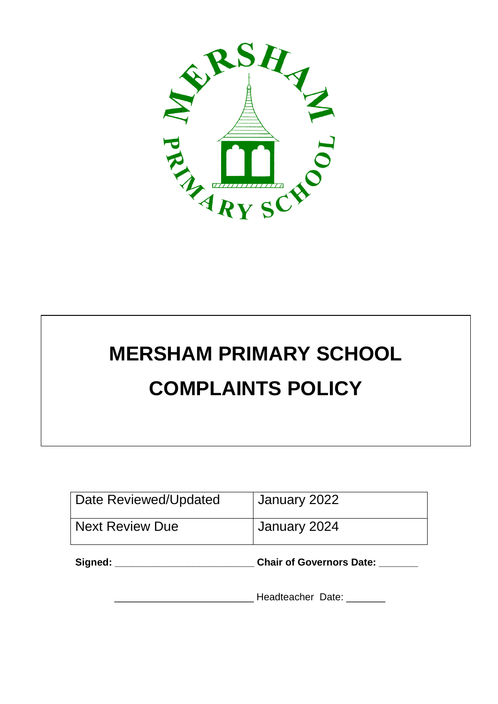

# **MERSHAM PRIMARY SCHOOL COMPLAINTS POLICY**

| Date Reviewed/Updated  | January 2022                    |
|------------------------|---------------------------------|
| <b>Next Review Due</b> | January 2024                    |
| Signed:                | <b>Chair of Governors Date:</b> |

Headteacher Date: \_\_\_\_\_\_\_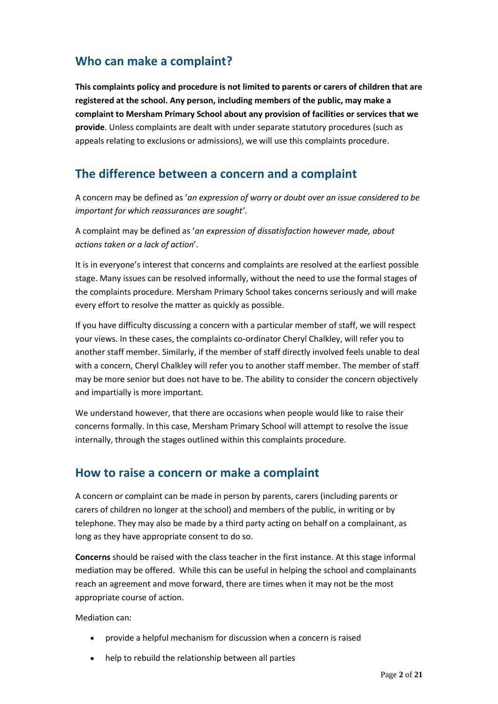## **Who can make a complaint?**

**This complaints policy and procedure is not limited to parents or carers of children that are registered at the school. Any person, including members of the public, may make a complaint to Mersham Primary School about any provision of facilities or services that we provide**. Unless complaints are dealt with under separate statutory procedures (such as appeals relating to exclusions or admissions), we will use this complaints procedure.

#### **The difference between a concern and a complaint**

A concern may be defined as '*an expression of worry or doubt over an issue considered to be important for which reassurances are sought'*.

A complaint may be defined as '*an expression of dissatisfaction however made, about actions taken or a lack of action*'.

It is in everyone's interest that concerns and complaints are resolved at the earliest possible stage. Many issues can be resolved informally, without the need to use the formal stages of the complaints procedure. Mersham Primary School takes concerns seriously and will make every effort to resolve the matter as quickly as possible.

If you have difficulty discussing a concern with a particular member of staff, we will respect your views. In these cases, the complaints co-ordinator Cheryl Chalkley, will refer you to another staff member. Similarly, if the member of staff directly involved feels unable to deal with a concern, Cheryl Chalkley will refer you to another staff member. The member of staff may be more senior but does not have to be. The ability to consider the concern objectively and impartially is more important.

We understand however, that there are occasions when people would like to raise their concerns formally. In this case, Mersham Primary School will attempt to resolve the issue internally, through the stages outlined within this complaints procedure.

## **How to raise a concern or make a complaint**

A concern or complaint can be made in person by parents, carers (including parents or carers of children no longer at the school) and members of the public, in writing or by telephone. They may also be made by a third party acting on behalf on a complainant, as long as they have appropriate consent to do so.

**Concerns** should be raised with the class teacher in the first instance. At this stage informal mediation may be offered. While this can be useful in helping the school and complainants reach an agreement and move forward, there are times when it may not be the most appropriate course of action.

Mediation can:

- provide a helpful mechanism for discussion when a concern is raised
- help to rebuild the relationship between all parties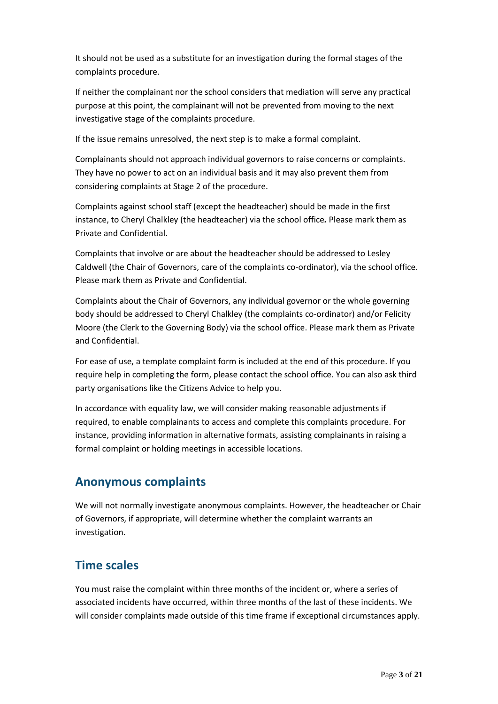It should not be used as a substitute for an investigation during the formal stages of the complaints procedure.

If neither the complainant nor the school considers that mediation will serve any practical purpose at this point, the complainant will not be prevented from moving to the next investigative stage of the complaints procedure.

If the issue remains unresolved, the next step is to make a formal complaint.

Complainants should not approach individual governors to raise concerns or complaints. They have no power to act on an individual basis and it may also prevent them from considering complaints at Stage 2 of the procedure.

Complaints against school staff (except the headteacher) should be made in the first instance, to Cheryl Chalkley (the headteacher) via the school office*.* Please mark them as Private and Confidential.

Complaints that involve or are about the headteacher should be addressed to Lesley Caldwell (the Chair of Governors, care of the complaints co-ordinator), via the school office. Please mark them as Private and Confidential.

Complaints about the Chair of Governors, any individual governor or the whole governing body should be addressed to Cheryl Chalkley (the complaints co-ordinator) and/or Felicity Moore (the Clerk to the Governing Body) via the school office. Please mark them as Private and Confidential.

For ease of use, a template complaint form is included at the end of this procedure. If you require help in completing the form, please contact the school office. You can also ask third party organisations like the Citizens Advice to help you.

In accordance with equality law, we will consider making reasonable adjustments if required, to enable complainants to access and complete this complaints procedure. For instance, providing information in alternative formats, assisting complainants in raising a formal complaint or holding meetings in accessible locations.

#### **Anonymous complaints**

We will not normally investigate anonymous complaints. However, the headteacher or Chair of Governors, if appropriate, will determine whether the complaint warrants an investigation.

## **Time scales**

You must raise the complaint within three months of the incident or, where a series of associated incidents have occurred, within three months of the last of these incidents. We will consider complaints made outside of this time frame if exceptional circumstances apply.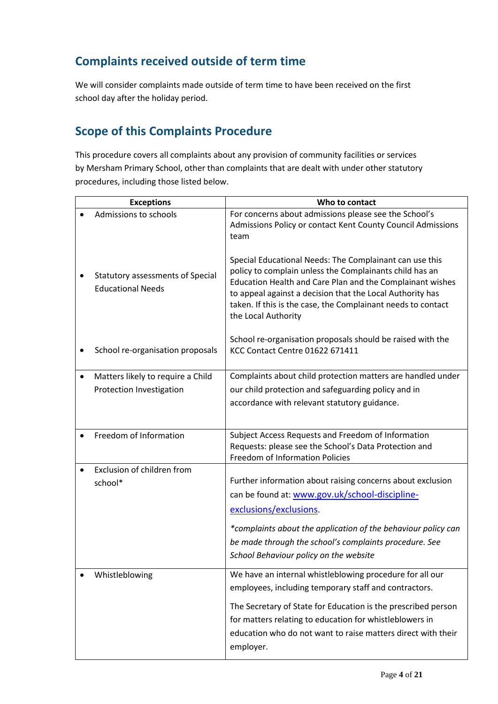# **Complaints received outside of term time**

We will consider complaints made outside of term time to have been received on the first school day after the holiday period.

## **Scope of this Complaints Procedure**

This procedure covers all complaints about any provision of community facilities or services by Mersham Primary School, other than complaints that are dealt with under other statutory procedures, including those listed below.

| <b>Exceptions</b>                                            | Who to contact                                                                                                                                                                                                                                                                                                                      |  |
|--------------------------------------------------------------|-------------------------------------------------------------------------------------------------------------------------------------------------------------------------------------------------------------------------------------------------------------------------------------------------------------------------------------|--|
| Admissions to schools                                        | For concerns about admissions please see the School's<br>Admissions Policy or contact Kent County Council Admissions<br>team                                                                                                                                                                                                        |  |
| Statutory assessments of Special<br><b>Educational Needs</b> | Special Educational Needs: The Complainant can use this<br>policy to complain unless the Complainants child has an<br>Education Health and Care Plan and the Complainant wishes<br>to appeal against a decision that the Local Authority has<br>taken. If this is the case, the Complainant needs to contact<br>the Local Authority |  |
| School re-organisation proposals                             | School re-organisation proposals should be raised with the<br>KCC Contact Centre 01622 671411                                                                                                                                                                                                                                       |  |
| Matters likely to require a Child                            | Complaints about child protection matters are handled under                                                                                                                                                                                                                                                                         |  |
| Protection Investigation                                     | our child protection and safeguarding policy and in                                                                                                                                                                                                                                                                                 |  |
|                                                              | accordance with relevant statutory guidance.                                                                                                                                                                                                                                                                                        |  |
|                                                              |                                                                                                                                                                                                                                                                                                                                     |  |
| Freedom of Information                                       | Subject Access Requests and Freedom of Information<br>Requests: please see the School's Data Protection and<br><b>Freedom of Information Policies</b>                                                                                                                                                                               |  |
| Exclusion of children from                                   |                                                                                                                                                                                                                                                                                                                                     |  |
| school*                                                      | Further information about raising concerns about exclusion                                                                                                                                                                                                                                                                          |  |
|                                                              | can be found at: www.gov.uk/school-discipline-                                                                                                                                                                                                                                                                                      |  |
|                                                              | exclusions/exclusions.                                                                                                                                                                                                                                                                                                              |  |
|                                                              |                                                                                                                                                                                                                                                                                                                                     |  |
|                                                              | *complaints about the application of the behaviour policy can<br>be made through the school's complaints procedure. See                                                                                                                                                                                                             |  |
|                                                              | School Behaviour policy on the website                                                                                                                                                                                                                                                                                              |  |
|                                                              |                                                                                                                                                                                                                                                                                                                                     |  |
| Whistleblowing                                               | We have an internal whistleblowing procedure for all our<br>employees, including temporary staff and contractors.                                                                                                                                                                                                                   |  |
|                                                              | The Secretary of State for Education is the prescribed person<br>for matters relating to education for whistleblowers in<br>education who do not want to raise matters direct with their<br>employer.                                                                                                                               |  |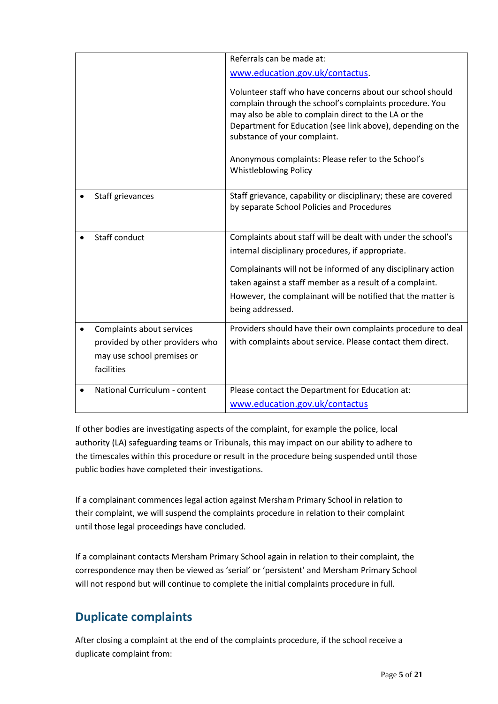|                                 | Referrals can be made at:                                      |
|---------------------------------|----------------------------------------------------------------|
|                                 | www.education.gov.uk/contactus.                                |
|                                 |                                                                |
|                                 | Volunteer staff who have concerns about our school should      |
|                                 | complain through the school's complaints procedure. You        |
|                                 | may also be able to complain direct to the LA or the           |
|                                 | Department for Education (see link above), depending on the    |
|                                 | substance of your complaint.                                   |
|                                 |                                                                |
|                                 | Anonymous complaints: Please refer to the School's             |
|                                 | <b>Whistleblowing Policy</b>                                   |
|                                 |                                                                |
| Staff grievances                | Staff grievance, capability or disciplinary; these are covered |
|                                 | by separate School Policies and Procedures                     |
|                                 |                                                                |
| <b>Staff conduct</b>            | Complaints about staff will be dealt with under the school's   |
|                                 | internal disciplinary procedures, if appropriate.              |
|                                 |                                                                |
|                                 | Complainants will not be informed of any disciplinary action   |
|                                 | taken against a staff member as a result of a complaint.       |
|                                 | However, the complainant will be notified that the matter is   |
|                                 | being addressed.                                               |
|                                 |                                                                |
| Complaints about services       | Providers should have their own complaints procedure to deal   |
| provided by other providers who | with complaints about service. Please contact them direct.     |
| may use school premises or      |                                                                |
| facilities                      |                                                                |
|                                 |                                                                |
| National Curriculum - content   | Please contact the Department for Education at:                |
|                                 | www.education.gov.uk/contactus                                 |

If other bodies are investigating aspects of the complaint, for example the police, local authority (LA) safeguarding teams or Tribunals, this may impact on our ability to adhere to the timescales within this procedure or result in the procedure being suspended until those public bodies have completed their investigations.

If a complainant commences legal action against Mersham Primary School in relation to their complaint, we will suspend the complaints procedure in relation to their complaint until those legal proceedings have concluded.

If a complainant contacts Mersham Primary School again in relation to their complaint, the correspondence may then be viewed as 'serial' or 'persistent' and Mersham Primary School will not respond but will continue to complete the initial complaints procedure in full.

# **Duplicate complaints**

After closing a complaint at the end of the complaints procedure, if the school receive a duplicate complaint from: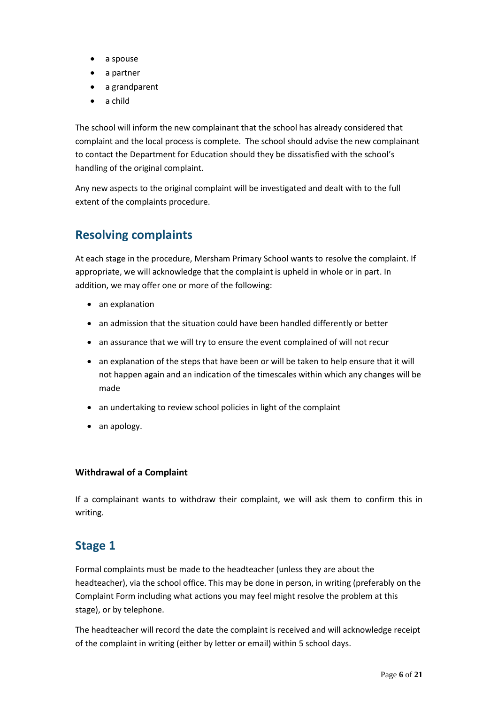- a spouse
- a partner
- a grandparent
- a child

The school will inform the new complainant that the school has already considered that complaint and the local process is complete. The school should advise the new complainant to contact the Department for Education should they be dissatisfied with the school's handling of the original complaint.

Any new aspects to the original complaint will be investigated and dealt with to the full extent of the complaints procedure.

# **Resolving complaints**

At each stage in the procedure, Mersham Primary School wants to resolve the complaint. If appropriate, we will acknowledge that the complaint is upheld in whole or in part. In addition, we may offer one or more of the following:

- an explanation
- an admission that the situation could have been handled differently or better
- an assurance that we will try to ensure the event complained of will not recur
- an explanation of the steps that have been or will be taken to help ensure that it will not happen again and an indication of the timescales within which any changes will be made
- an undertaking to review school policies in light of the complaint
- an apology.

#### **Withdrawal of a Complaint**

If a complainant wants to withdraw their complaint, we will ask them to confirm this in writing.

## **Stage 1**

Formal complaints must be made to the headteacher (unless they are about the headteacher), via the school office. This may be done in person, in writing (preferably on the Complaint Form including what actions you may feel might resolve the problem at this stage), or by telephone.

The headteacher will record the date the complaint is received and will acknowledge receipt of the complaint in writing (either by letter or email) within 5 school days.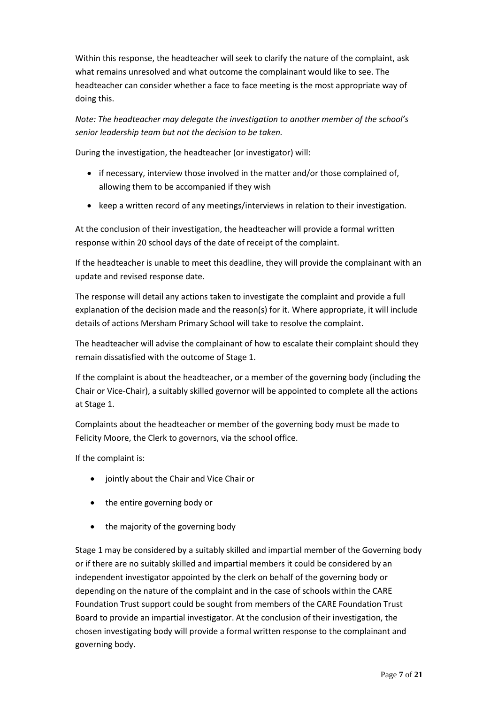Within this response, the headteacher will seek to clarify the nature of the complaint, ask what remains unresolved and what outcome the complainant would like to see. The headteacher can consider whether a face to face meeting is the most appropriate way of doing this.

*Note: The headteacher may delegate the investigation to another member of the school's senior leadership team but not the decision to be taken.*

During the investigation, the headteacher (or investigator) will:

- if necessary, interview those involved in the matter and/or those complained of, allowing them to be accompanied if they wish
- keep a written record of any meetings/interviews in relation to their investigation.

At the conclusion of their investigation, the headteacher will provide a formal written response within 20 school days of the date of receipt of the complaint.

If the headteacher is unable to meet this deadline, they will provide the complainant with an update and revised response date.

The response will detail any actions taken to investigate the complaint and provide a full explanation of the decision made and the reason(s) for it. Where appropriate, it will include details of actions Mersham Primary School will take to resolve the complaint.

The headteacher will advise the complainant of how to escalate their complaint should they remain dissatisfied with the outcome of Stage 1.

If the complaint is about the headteacher, or a member of the governing body (including the Chair or Vice-Chair), a suitably skilled governor will be appointed to complete all the actions at Stage 1.

Complaints about the headteacher or member of the governing body must be made to Felicity Moore, the Clerk to governors, via the school office.

If the complaint is:

- jointly about the Chair and Vice Chair or
- the entire governing body or
- the majority of the governing body

Stage 1 may be considered by a suitably skilled and impartial member of the Governing body or if there are no suitably skilled and impartial members it could be considered by an independent investigator appointed by the clerk on behalf of the governing body or depending on the nature of the complaint and in the case of schools within the CARE Foundation Trust support could be sought from members of the CARE Foundation Trust Board to provide an impartial investigator. At the conclusion of their investigation, the chosen investigating body will provide a formal written response to the complainant and governing body.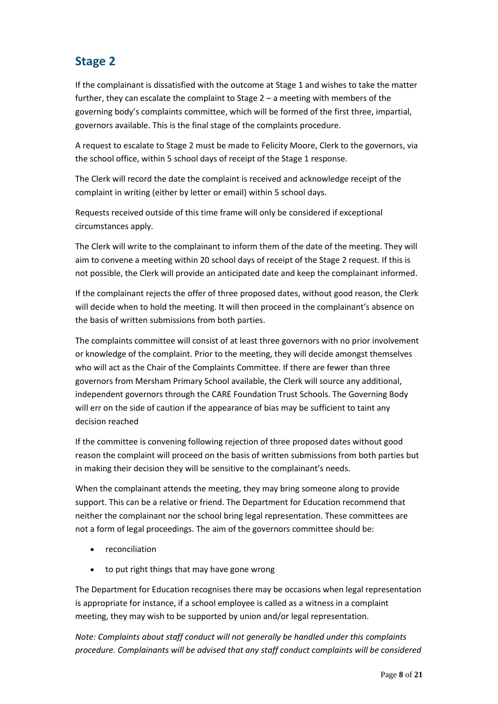# **Stage 2**

If the complainant is dissatisfied with the outcome at Stage 1 and wishes to take the matter further, they can escalate the complaint to Stage 2 – a meeting with members of the governing body's complaints committee, which will be formed of the first three, impartial, governors available. This is the final stage of the complaints procedure.

A request to escalate to Stage 2 must be made to Felicity Moore, Clerk to the governors, via the school office, within 5 school days of receipt of the Stage 1 response.

The Clerk will record the date the complaint is received and acknowledge receipt of the complaint in writing (either by letter or email) within 5 school days.

Requests received outside of this time frame will only be considered if exceptional circumstances apply.

The Clerk will write to the complainant to inform them of the date of the meeting. They will aim to convene a meeting within 20 school days of receipt of the Stage 2 request. If this is not possible, the Clerk will provide an anticipated date and keep the complainant informed.

If the complainant rejects the offer of three proposed dates, without good reason, the Clerk will decide when to hold the meeting. It will then proceed in the complainant's absence on the basis of written submissions from both parties.

The complaints committee will consist of at least three governors with no prior involvement or knowledge of the complaint. Prior to the meeting, they will decide amongst themselves who will act as the Chair of the Complaints Committee. If there are fewer than three governors from Mersham Primary School available, the Clerk will source any additional, independent governors through the CARE Foundation Trust Schools. The Governing Body will err on the side of caution if the appearance of bias may be sufficient to taint any decision reached

If the committee is convening following rejection of three proposed dates without good reason the complaint will proceed on the basis of written submissions from both parties but in making their decision they will be sensitive to the complainant's needs.

When the complainant attends the meeting, they may bring someone along to provide support. This can be a relative or friend. The Department for Education recommend that neither the complainant nor the school bring legal representation. These committees are not a form of legal proceedings. The aim of the governors committee should be:

- reconciliation
- to put right things that may have gone wrong

The Department for Education recognises there may be occasions when legal representation is appropriate for instance, if a school employee is called as a witness in a complaint meeting, they may wish to be supported by union and/or legal representation.

*Note: Complaints about staff conduct will not generally be handled under this complaints procedure. Complainants will be advised that any staff conduct complaints will be considered*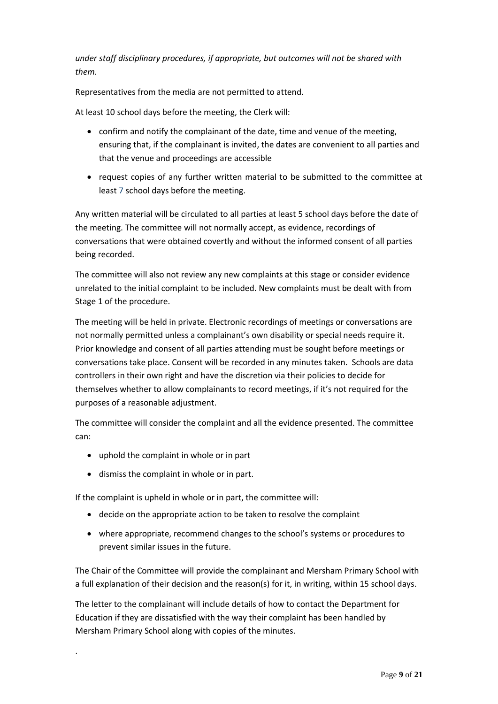*under staff disciplinary procedures, if appropriate, but outcomes will not be shared with them.* 

Representatives from the media are not permitted to attend.

At least 10 school days before the meeting, the Clerk will:

- confirm and notify the complainant of the date, time and venue of the meeting, ensuring that, if the complainant is invited, the dates are convenient to all parties and that the venue and proceedings are accessible
- request copies of any further written material to be submitted to the committee at least 7 school days before the meeting.

Any written material will be circulated to all parties at least 5 school days before the date of the meeting. The committee will not normally accept, as evidence, recordings of conversations that were obtained covertly and without the informed consent of all parties being recorded.

The committee will also not review any new complaints at this stage or consider evidence unrelated to the initial complaint to be included. New complaints must be dealt with from Stage 1 of the procedure.

The meeting will be held in private. Electronic recordings of meetings or conversations are not normally permitted unless a complainant's own disability or special needs require it. Prior knowledge and consent of all parties attending must be sought before meetings or conversations take place. Consent will be recorded in any minutes taken. Schools are data controllers in their own right and have the discretion via their policies to decide for themselves whether to allow complainants to record meetings, if it's not required for the purposes of a reasonable adjustment.

The committee will consider the complaint and all the evidence presented. The committee can:

- uphold the complaint in whole or in part
- dismiss the complaint in whole or in part.

.

If the complaint is upheld in whole or in part, the committee will:

- decide on the appropriate action to be taken to resolve the complaint
- where appropriate, recommend changes to the school's systems or procedures to prevent similar issues in the future.

The Chair of the Committee will provide the complainant and Mersham Primary School with a full explanation of their decision and the reason(s) for it, in writing, within 15 school days.

The letter to the complainant will include details of how to contact the Department for Education if they are dissatisfied with the way their complaint has been handled by Mersham Primary School along with copies of the minutes.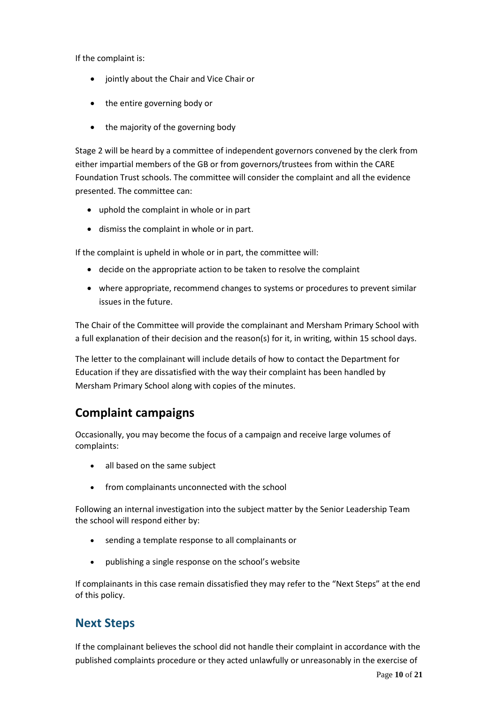If the complaint is:

- jointly about the Chair and Vice Chair or
- the entire governing body or
- the majority of the governing body

Stage 2 will be heard by a committee of independent governors convened by the clerk from either impartial members of the GB or from governors/trustees from within the CARE Foundation Trust schools. The committee will consider the complaint and all the evidence presented. The committee can:

- uphold the complaint in whole or in part
- dismiss the complaint in whole or in part.

If the complaint is upheld in whole or in part, the committee will:

- decide on the appropriate action to be taken to resolve the complaint
- where appropriate, recommend changes to systems or procedures to prevent similar issues in the future.

The Chair of the Committee will provide the complainant and Mersham Primary School with a full explanation of their decision and the reason(s) for it, in writing, within 15 school days.

The letter to the complainant will include details of how to contact the Department for Education if they are dissatisfied with the way their complaint has been handled by Mersham Primary School along with copies of the minutes.

## **Complaint campaigns**

Occasionally, you may become the focus of a campaign and receive large volumes of complaints:

- all based on the same subject
- from complainants unconnected with the school

Following an internal investigation into the subject matter by the Senior Leadership Team the school will respond either by:

- sending a template response to all complainants or
- publishing a single response on the school's website

If complainants in this case remain dissatisfied they may refer to the "Next Steps" at the end of this policy.

## **Next Steps**

If the complainant believes the school did not handle their complaint in accordance with the published complaints procedure or they acted unlawfully or unreasonably in the exercise of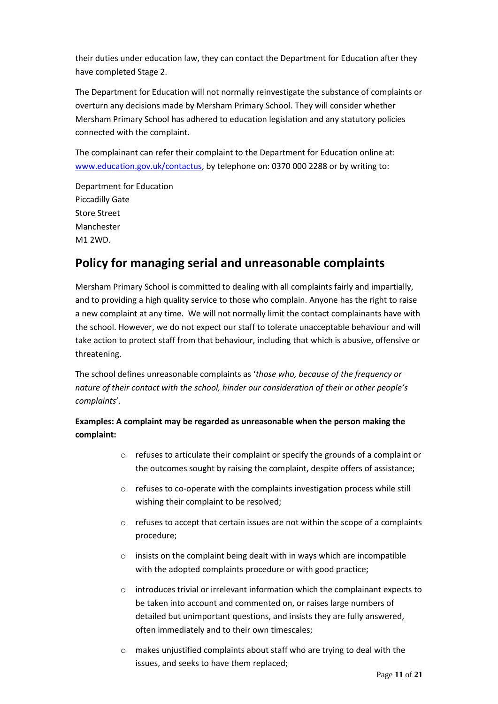their duties under education law, they can contact the Department for Education after they have completed Stage 2.

The Department for Education will not normally reinvestigate the substance of complaints or overturn any decisions made by Mersham Primary School. They will consider whether Mersham Primary School has adhered to education legislation and any statutory policies connected with the complaint.

The complainant can refer their complaint to the Department for Education online at: [www.education.gov.uk/contactus,](http://www.education.gov.uk/contactus) by telephone on: 0370 000 2288 or by writing to:

Department for Education Piccadilly Gate Store Street Manchester M1 2WD.

## **Policy for managing serial and unreasonable complaints**

Mersham Primary School is committed to dealing with all complaints fairly and impartially, and to providing a high quality service to those who complain. Anyone has the right to raise a new complaint at any time. We will not normally limit the contact complainants have with the school. However, we do not expect our staff to tolerate unacceptable behaviour and will take action to protect staff from that behaviour, including that which is abusive, offensive or threatening.

The school defines unreasonable complaints as '*those who, because of the frequency or nature of their contact with the school, hinder our consideration of their or other people's complaints*'.

#### **Examples: A complaint may be regarded as unreasonable when the person making the complaint:**

- o refuses to articulate their complaint or specify the grounds of a complaint or the outcomes sought by raising the complaint, despite offers of assistance;
- o refuses to co-operate with the complaints investigation process while still wishing their complaint to be resolved;
- $\circ$  refuses to accept that certain issues are not within the scope of a complaints procedure;
- o insists on the complaint being dealt with in ways which are incompatible with the adopted complaints procedure or with good practice;
- o introduces trivial or irrelevant information which the complainant expects to be taken into account and commented on, or raises large numbers of detailed but unimportant questions, and insists they are fully answered, often immediately and to their own timescales;
- o makes unjustified complaints about staff who are trying to deal with the issues, and seeks to have them replaced;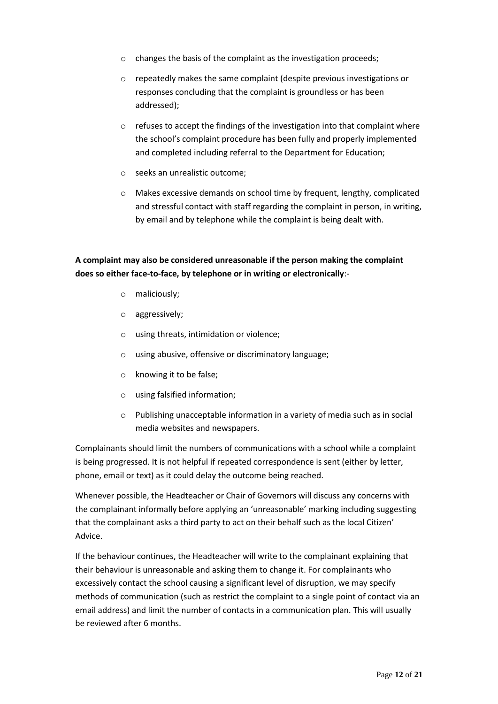- o changes the basis of the complaint as the investigation proceeds;
- o repeatedly makes the same complaint (despite previous investigations or responses concluding that the complaint is groundless or has been addressed);
- o refuses to accept the findings of the investigation into that complaint where the school's complaint procedure has been fully and properly implemented and completed including referral to the Department for Education;
- o seeks an unrealistic outcome;
- o Makes excessive demands on school time by frequent, lengthy, complicated and stressful contact with staff regarding the complaint in person, in writing, by email and by telephone while the complaint is being dealt with.

#### **A complaint may also be considered unreasonable if the person making the complaint does so either face-to-face, by telephone or in writing or electronically**:-

- o maliciously;
- o aggressively;
- o using threats, intimidation or violence;
- o using abusive, offensive or discriminatory language;
- o knowing it to be false;
- o using falsified information;
- o Publishing unacceptable information in a variety of media such as in social media websites and newspapers.

Complainants should limit the numbers of communications with a school while a complaint is being progressed. It is not helpful if repeated correspondence is sent (either by letter, phone, email or text) as it could delay the outcome being reached.

Whenever possible, the Headteacher or Chair of Governors will discuss any concerns with the complainant informally before applying an 'unreasonable' marking including suggesting that the complainant asks a third party to act on their behalf such as the local Citizen' Advice.

If the behaviour continues, the Headteacher will write to the complainant explaining that their behaviour is unreasonable and asking them to change it. For complainants who excessively contact the school causing a significant level of disruption, we may specify methods of communication (such as restrict the complaint to a single point of contact via an email address) and limit the number of contacts in a communication plan. This will usually be reviewed after 6 months.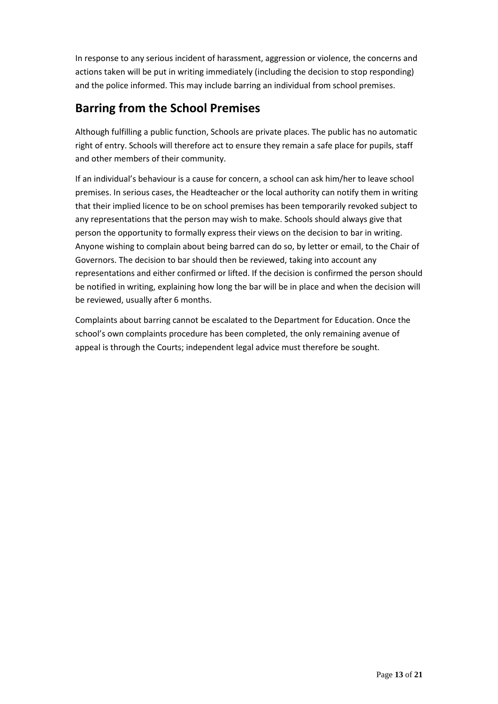In response to any serious incident of harassment, aggression or violence, the concerns and actions taken will be put in writing immediately (including the decision to stop responding) and the police informed. This may include barring an individual from school premises.

## **Barring from the School Premises**

Although fulfilling a public function, Schools are private places. The public has no automatic right of entry. Schools will therefore act to ensure they remain a safe place for pupils, staff and other members of their community.

If an individual's behaviour is a cause for concern, a school can ask him/her to leave school premises. In serious cases, the Headteacher or the local authority can notify them in writing that their implied licence to be on school premises has been temporarily revoked subject to any representations that the person may wish to make. Schools should always give that person the opportunity to formally express their views on the decision to bar in writing. Anyone wishing to complain about being barred can do so, by letter or email, to the Chair of Governors. The decision to bar should then be reviewed, taking into account any representations and either confirmed or lifted. If the decision is confirmed the person should be notified in writing, explaining how long the bar will be in place and when the decision will be reviewed, usually after 6 months.

Complaints about barring cannot be escalated to the Department for Education. Once the school's own complaints procedure has been completed, the only remaining avenue of appeal is through the Courts; independent legal advice must therefore be sought.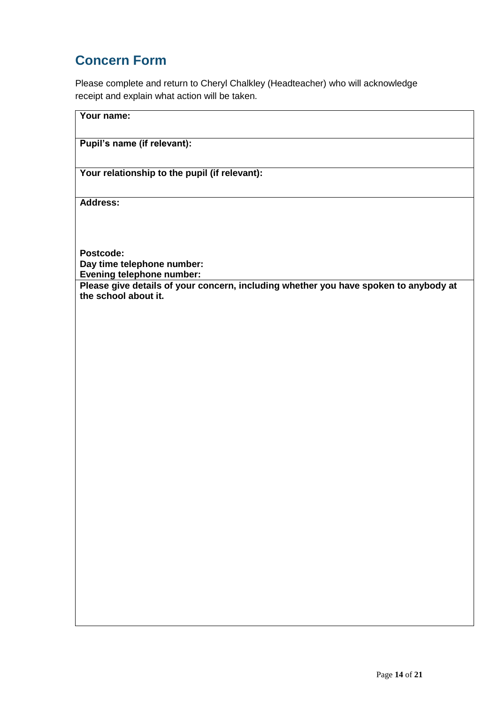# **Concern Form**

Please complete and return to Cheryl Chalkley (Headteacher) who will acknowledge receipt and explain what action will be taken.

| Your name:                                                                                                   |
|--------------------------------------------------------------------------------------------------------------|
| Pupil's name (if relevant):                                                                                  |
| Your relationship to the pupil (if relevant):                                                                |
| Address:                                                                                                     |
|                                                                                                              |
| Postcode:                                                                                                    |
| Day time telephone number:<br><b>Evening telephone number:</b>                                               |
| Please give details of your concern, including whether you have spoken to anybody at<br>the school about it. |
|                                                                                                              |
|                                                                                                              |
|                                                                                                              |
|                                                                                                              |
|                                                                                                              |
|                                                                                                              |
|                                                                                                              |
|                                                                                                              |
|                                                                                                              |
|                                                                                                              |
|                                                                                                              |
|                                                                                                              |
|                                                                                                              |
|                                                                                                              |
|                                                                                                              |
|                                                                                                              |
|                                                                                                              |
|                                                                                                              |
|                                                                                                              |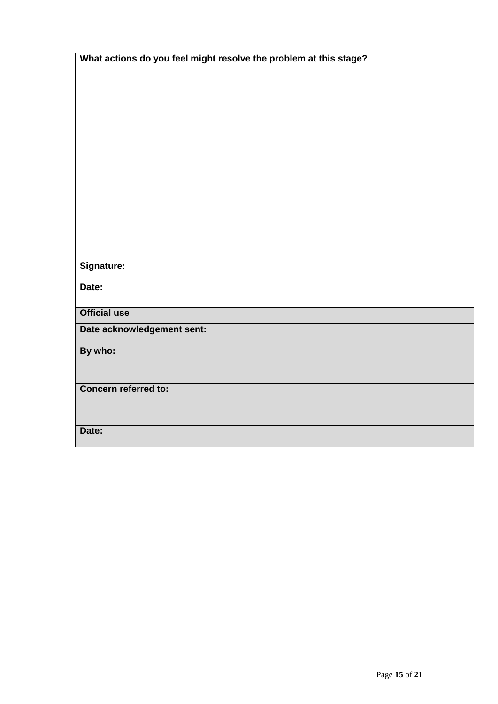| What actions do you feel might resolve the problem at this stage? |  |  |
|-------------------------------------------------------------------|--|--|
|                                                                   |  |  |
|                                                                   |  |  |
|                                                                   |  |  |
|                                                                   |  |  |
|                                                                   |  |  |
|                                                                   |  |  |
|                                                                   |  |  |
|                                                                   |  |  |
|                                                                   |  |  |
|                                                                   |  |  |
|                                                                   |  |  |
|                                                                   |  |  |
|                                                                   |  |  |
|                                                                   |  |  |
|                                                                   |  |  |
| Signature:                                                        |  |  |
| Date:                                                             |  |  |
|                                                                   |  |  |
| <b>Official use</b>                                               |  |  |
| Date acknowledgement sent:                                        |  |  |
|                                                                   |  |  |
| By who:                                                           |  |  |
|                                                                   |  |  |
|                                                                   |  |  |
| Concern referred to:                                              |  |  |
|                                                                   |  |  |
|                                                                   |  |  |
| Date:                                                             |  |  |
|                                                                   |  |  |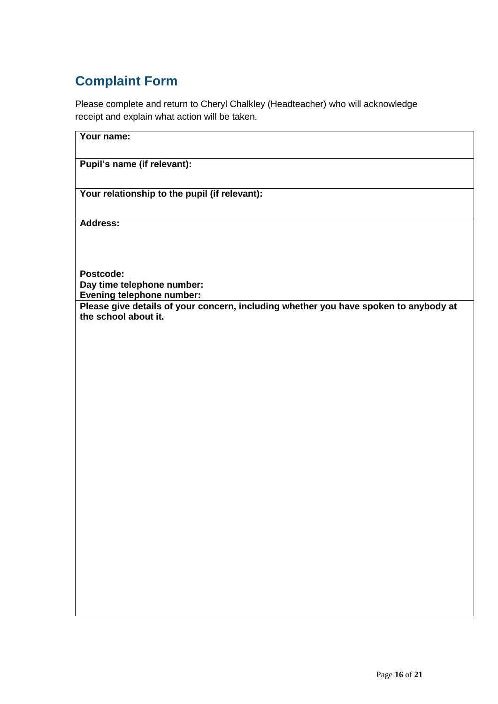# **Complaint Form**

Please complete and return to Cheryl Chalkley (Headteacher) who will acknowledge receipt and explain what action will be taken.

**Your name:**

**Pupil's name (if relevant):**

**Your relationship to the pupil (if relevant):**

**Address:** 

**Postcode: Day time telephone number: Evening telephone number: Please give details of your concern, including whether you have spoken to anybody at** 

**the school about it.**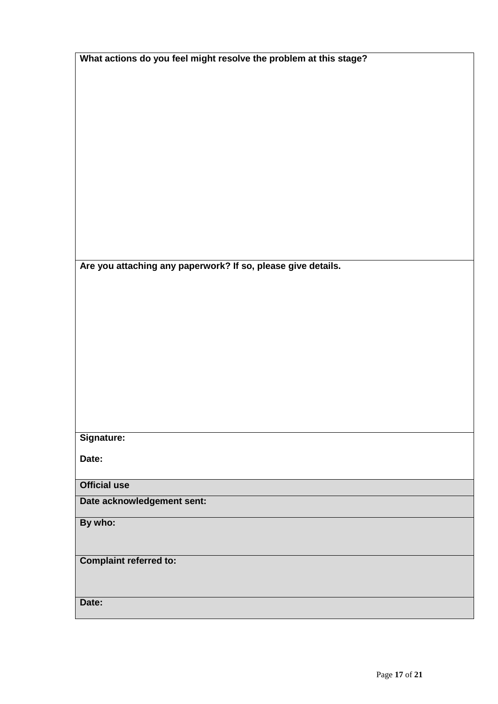| What actions do you feel might resolve the problem at this stage? |  |
|-------------------------------------------------------------------|--|
|                                                                   |  |
|                                                                   |  |
|                                                                   |  |
|                                                                   |  |
|                                                                   |  |
|                                                                   |  |
|                                                                   |  |
|                                                                   |  |
|                                                                   |  |
|                                                                   |  |
| Are you attaching any paperwork? If so, please give details.      |  |
|                                                                   |  |
|                                                                   |  |
|                                                                   |  |
|                                                                   |  |
|                                                                   |  |
|                                                                   |  |
|                                                                   |  |
|                                                                   |  |
| Signature:                                                        |  |
| Date:                                                             |  |
|                                                                   |  |
| <b>Official use</b>                                               |  |
| Date acknowledgement sent:                                        |  |
| By who:                                                           |  |
|                                                                   |  |
| <b>Complaint referred to:</b>                                     |  |
|                                                                   |  |
| Date:                                                             |  |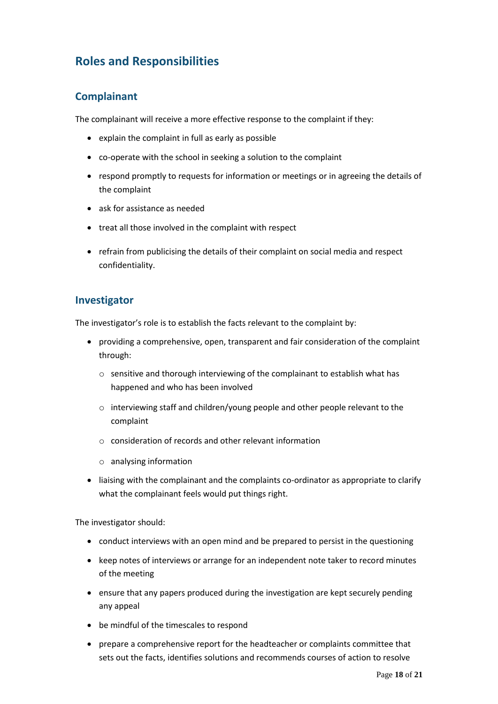## **Roles and Responsibilities**

#### **Complainant**

The complainant will receive a more effective response to the complaint if they:

- explain the complaint in full as early as possible
- co-operate with the school in seeking a solution to the complaint
- respond promptly to requests for information or meetings or in agreeing the details of the complaint
- ask for assistance as needed
- treat all those involved in the complaint with respect
- refrain from publicising the details of their complaint on social media and respect confidentiality.

#### **Investigator**

The investigator's role is to establish the facts relevant to the complaint by:

- providing a comprehensive, open, transparent and fair consideration of the complaint through:
	- o sensitive and thorough interviewing of the complainant to establish what has happened and who has been involved
	- o interviewing staff and children/young people and other people relevant to the complaint
	- o consideration of records and other relevant information
	- o analysing information
- liaising with the complainant and the complaints co-ordinator as appropriate to clarify what the complainant feels would put things right.

The investigator should:

- conduct interviews with an open mind and be prepared to persist in the questioning
- keep notes of interviews or arrange for an independent note taker to record minutes of the meeting
- ensure that any papers produced during the investigation are kept securely pending any appeal
- be mindful of the timescales to respond
- prepare a comprehensive report for the headteacher or complaints committee that sets out the facts, identifies solutions and recommends courses of action to resolve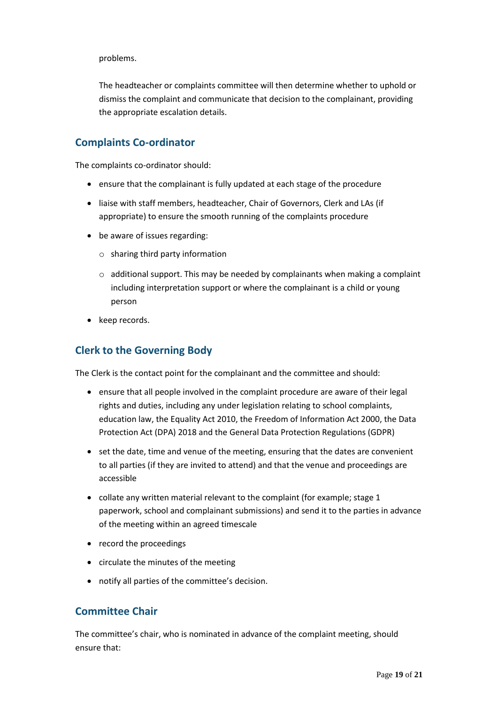problems.

The headteacher or complaints committee will then determine whether to uphold or dismiss the complaint and communicate that decision to the complainant, providing the appropriate escalation details.

#### **Complaints Co-ordinator**

The complaints co-ordinator should:

- ensure that the complainant is fully updated at each stage of the procedure
- liaise with staff members, headteacher, Chair of Governors, Clerk and LAs (if appropriate) to ensure the smooth running of the complaints procedure
- be aware of issues regarding:
	- o sharing third party information
	- $\circ$  additional support. This may be needed by complainants when making a complaint including interpretation support or where the complainant is a child or young person
- keep records.

#### **Clerk to the Governing Body**

The Clerk is the contact point for the complainant and the committee and should:

- ensure that all people involved in the complaint procedure are aware of their legal rights and duties, including any under legislation relating to school complaints, education law, the Equality Act 2010, the Freedom of Information Act 2000, the Data Protection Act (DPA) 2018 and the General Data Protection Regulations (GDPR)
- set the date, time and venue of the meeting, ensuring that the dates are convenient to all parties (if they are invited to attend) and that the venue and proceedings are accessible
- collate any written material relevant to the complaint (for example; stage 1 paperwork, school and complainant submissions) and send it to the parties in advance of the meeting within an agreed timescale
- record the proceedings
- circulate the minutes of the meeting
- notify all parties of the committee's decision.

#### **Committee Chair**

The committee's chair, who is nominated in advance of the complaint meeting, should ensure that: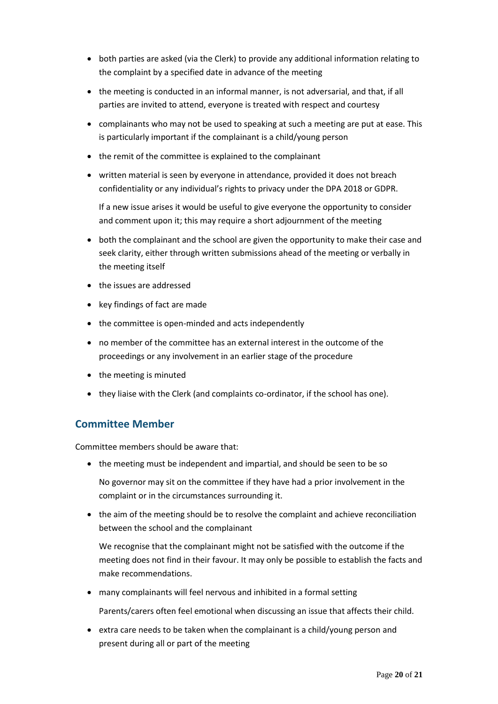- both parties are asked (via the Clerk) to provide any additional information relating to the complaint by a specified date in advance of the meeting
- $\bullet$  the meeting is conducted in an informal manner, is not adversarial, and that, if all parties are invited to attend, everyone is treated with respect and courtesy
- complainants who may not be used to speaking at such a meeting are put at ease. This is particularly important if the complainant is a child/young person
- the remit of the committee is explained to the complainant
- written material is seen by everyone in attendance, provided it does not breach confidentiality or any individual's rights to privacy under the DPA 2018 or GDPR.

If a new issue arises it would be useful to give everyone the opportunity to consider and comment upon it; this may require a short adjournment of the meeting

- both the complainant and the school are given the opportunity to make their case and seek clarity, either through written submissions ahead of the meeting or verbally in the meeting itself
- the issues are addressed
- key findings of fact are made
- the committee is open-minded and acts independently
- no member of the committee has an external interest in the outcome of the proceedings or any involvement in an earlier stage of the procedure
- the meeting is minuted
- they liaise with the Clerk (and complaints co-ordinator, if the school has one).

#### **Committee Member**

Committee members should be aware that:

• the meeting must be independent and impartial, and should be seen to be so

No governor may sit on the committee if they have had a prior involvement in the complaint or in the circumstances surrounding it.

• the aim of the meeting should be to resolve the complaint and achieve reconciliation between the school and the complainant

We recognise that the complainant might not be satisfied with the outcome if the meeting does not find in their favour. It may only be possible to establish the facts and make recommendations.

many complainants will feel nervous and inhibited in a formal setting

Parents/carers often feel emotional when discussing an issue that affects their child.

 extra care needs to be taken when the complainant is a child/young person and present during all or part of the meeting